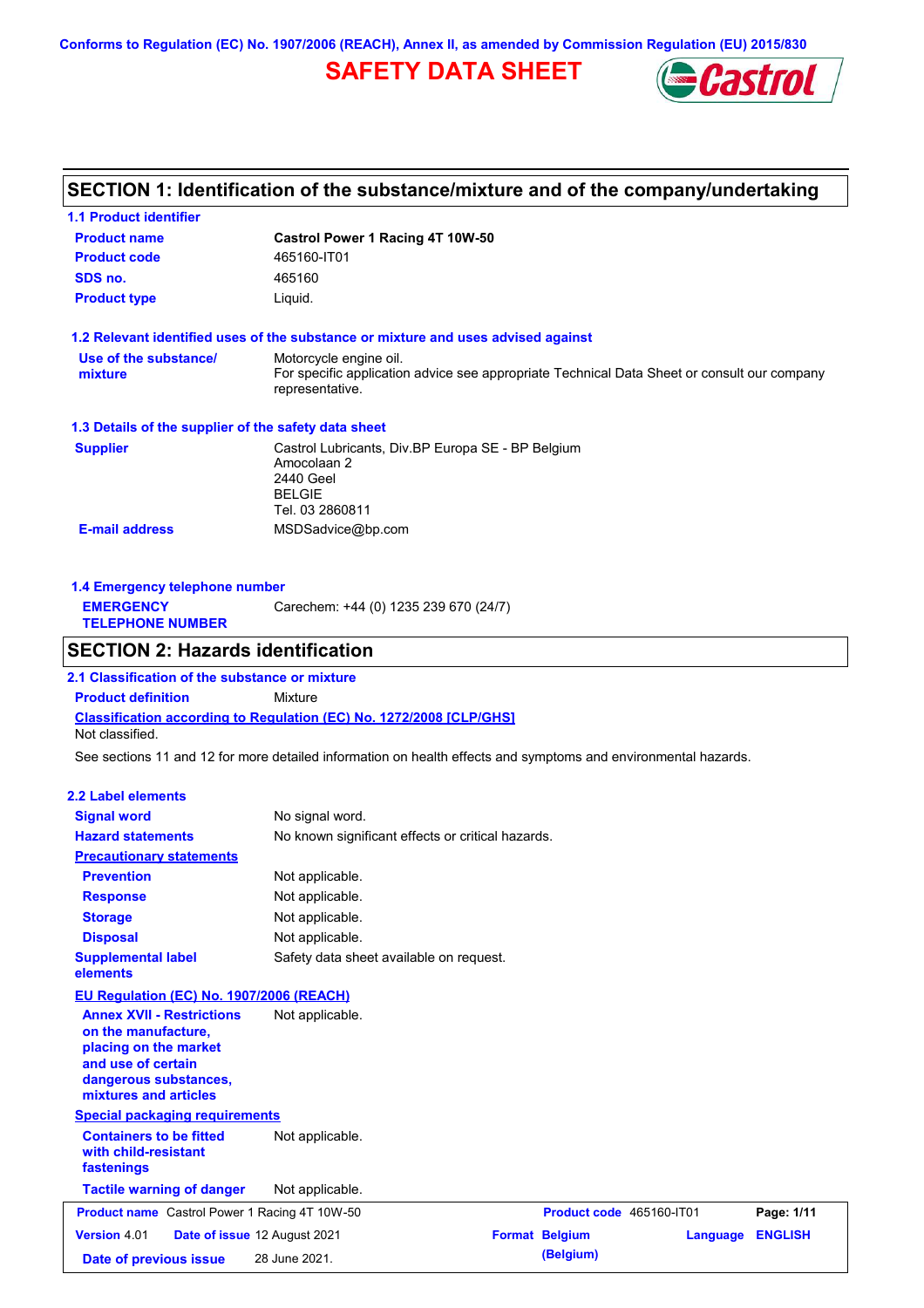**Conforms to Regulation (EC) No. 1907/2006 (REACH), Annex II, as amended by Commission Regulation (EU) 2015/830**

# **SAFETY DATA SHEET**



# **SECTION 1: Identification of the substance/mixture and of the company/undertaking**

| 1.1 Product identifier                                                                                                                                   |                                                                                                                   |                          |                 |                |
|----------------------------------------------------------------------------------------------------------------------------------------------------------|-------------------------------------------------------------------------------------------------------------------|--------------------------|-----------------|----------------|
| <b>Product name</b>                                                                                                                                      | Castrol Power 1 Racing 4T 10W-50                                                                                  |                          |                 |                |
| <b>Product code</b>                                                                                                                                      | 465160-IT01                                                                                                       |                          |                 |                |
| SDS no.                                                                                                                                                  | 465160                                                                                                            |                          |                 |                |
| <b>Product type</b>                                                                                                                                      | Liquid.                                                                                                           |                          |                 |                |
|                                                                                                                                                          | 1.2 Relevant identified uses of the substance or mixture and uses advised against                                 |                          |                 |                |
| Use of the substance/                                                                                                                                    | Motorcycle engine oil.                                                                                            |                          |                 |                |
| mixture                                                                                                                                                  | For specific application advice see appropriate Technical Data Sheet or consult our company<br>representative.    |                          |                 |                |
| 1.3 Details of the supplier of the safety data sheet                                                                                                     |                                                                                                                   |                          |                 |                |
| <b>Supplier</b>                                                                                                                                          | Castrol Lubricants, Div.BP Europa SE - BP Belgium<br>Amocolaan 2<br>2440 Geel<br><b>BELGIE</b><br>Tel. 03 2860811 |                          |                 |                |
| <b>E-mail address</b>                                                                                                                                    | MSDSadvice@bp.com                                                                                                 |                          |                 |                |
| 1.4 Emergency telephone number<br><b>EMERGENCY</b><br><b>TELEPHONE NUMBER</b>                                                                            | Carechem: +44 (0) 1235 239 670 (24/7)                                                                             |                          |                 |                |
| <b>SECTION 2: Hazards identification</b>                                                                                                                 |                                                                                                                   |                          |                 |                |
| 2.1 Classification of the substance or mixture                                                                                                           |                                                                                                                   |                          |                 |                |
| <b>Product definition</b>                                                                                                                                | Mixture                                                                                                           |                          |                 |                |
| Not classified.                                                                                                                                          | <b>Classification according to Regulation (EC) No. 1272/2008 [CLP/GHS]</b>                                        |                          |                 |                |
|                                                                                                                                                          | See sections 11 and 12 for more detailed information on health effects and symptoms and environmental hazards.    |                          |                 |                |
|                                                                                                                                                          |                                                                                                                   |                          |                 |                |
| 2.2 Label elements                                                                                                                                       |                                                                                                                   |                          |                 |                |
| <b>Signal word</b>                                                                                                                                       | No signal word.                                                                                                   |                          |                 |                |
| <b>Hazard statements</b>                                                                                                                                 | No known significant effects or critical hazards.                                                                 |                          |                 |                |
| <b>Precautionary statements</b>                                                                                                                          |                                                                                                                   |                          |                 |                |
| <b>Prevention</b>                                                                                                                                        | Not applicable.                                                                                                   |                          |                 |                |
| <b>Response</b>                                                                                                                                          | Not applicable.                                                                                                   |                          |                 |                |
| <b>Storage</b>                                                                                                                                           | Not applicable.                                                                                                   |                          |                 |                |
| <b>Disposal</b>                                                                                                                                          | Not applicable.                                                                                                   |                          |                 |                |
| <b>Supplemental label</b><br>elements                                                                                                                    | Safety data sheet available on request.                                                                           |                          |                 |                |
| EU Regulation (EC) No. 1907/2006 (REACH)                                                                                                                 |                                                                                                                   |                          |                 |                |
| <b>Annex XVII - Restrictions</b><br>on the manufacture,<br>placing on the market<br>and use of certain<br>dangerous substances,<br>mixtures and articles | Not applicable.                                                                                                   |                          |                 |                |
| <b>Special packaging requirements</b>                                                                                                                    |                                                                                                                   |                          |                 |                |
| <b>Containers to be fitted</b><br>with child-resistant<br>fastenings                                                                                     | Not applicable.                                                                                                   |                          |                 |                |
| <b>Tactile warning of danger</b>                                                                                                                         | Not applicable.                                                                                                   |                          |                 |                |
| <b>Product name</b> Castrol Power 1 Racing 4T 10W-50                                                                                                     |                                                                                                                   | Product code 465160-IT01 |                 | Page: 1/11     |
| Version 4.01                                                                                                                                             | Date of issue 12 August 2021                                                                                      | <b>Format Belgium</b>    | <b>Language</b> | <b>ENGLISH</b> |
| Date of previous issue                                                                                                                                   | 28 June 2021.                                                                                                     | (Belgium)                |                 |                |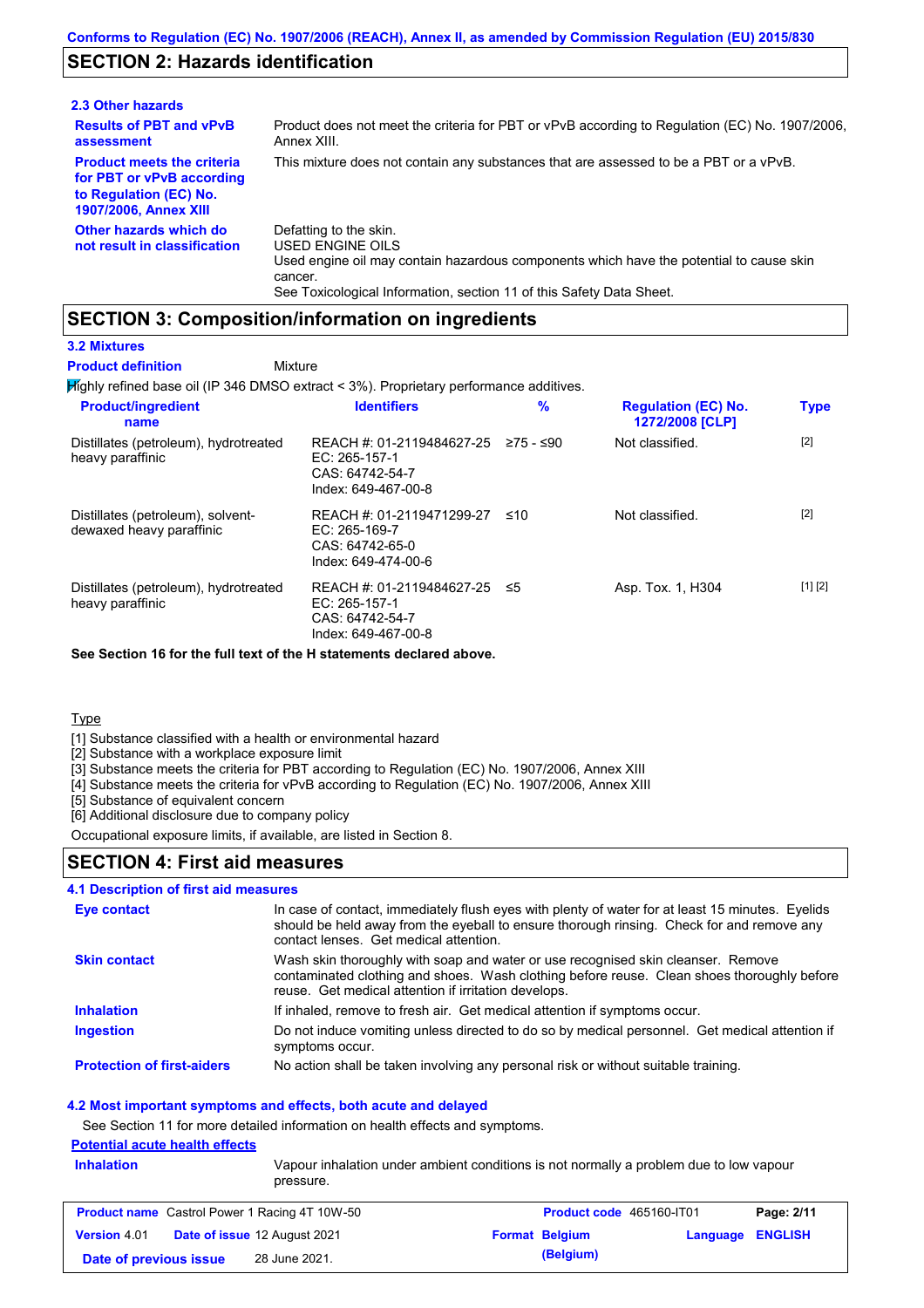## **SECTION 2: Hazards identification**

| 2.3 Other hazards                                                                                                        |                                                                                                                                                                                                                          |
|--------------------------------------------------------------------------------------------------------------------------|--------------------------------------------------------------------------------------------------------------------------------------------------------------------------------------------------------------------------|
| <b>Results of PBT and vPvB</b><br>assessment                                                                             | Product does not meet the criteria for PBT or vPvB according to Regulation (EC) No. 1907/2006.<br>Annex XIII.                                                                                                            |
| <b>Product meets the criteria</b><br>for PBT or vPvB according<br>to Regulation (EC) No.<br><b>1907/2006, Annex XIII</b> | This mixture does not contain any substances that are assessed to be a PBT or a vPvB.                                                                                                                                    |
| Other hazards which do<br>not result in classification                                                                   | Defatting to the skin.<br>USED ENGINE OILS<br>Used engine oil may contain hazardous components which have the potential to cause skin<br>cancer.<br>See Toxicological Information, section 11 of this Safety Data Sheet. |

## **SECTION 3: Composition/information on ingredients**

Mixture

#### **3.2 Mixtures**

**Product definition**

Highly refined base oil (IP 346 DMSO extract < 3%). Proprietary performance additives.

| <b>Product/ingredient</b><br>name                             | <b>Identifiers</b>                                                                   | $\%$      | <b>Regulation (EC) No.</b><br>1272/2008 [CLP] | <b>Type</b> |
|---------------------------------------------------------------|--------------------------------------------------------------------------------------|-----------|-----------------------------------------------|-------------|
| Distillates (petroleum), hydrotreated<br>heavy paraffinic     | REACH #: 01-2119484627-25<br>EC: 265-157-1<br>CAS: 64742-54-7<br>Index: 649-467-00-8 | 275 - ≤90 | Not classified.                               | $[2]$       |
| Distillates (petroleum), solvent-<br>dewaxed heavy paraffinic | REACH #: 01-2119471299-27<br>EC: 265-169-7<br>CAS: 64742-65-0<br>Index: 649-474-00-6 | ≤10       | Not classified.                               | $[2]$       |
| Distillates (petroleum), hydrotreated<br>heavy paraffinic     | REACH #: 01-2119484627-25<br>EC: 265-157-1<br>CAS: 64742-54-7<br>Index: 649-467-00-8 | -≤5       | Asp. Tox. 1, H304                             | [1] [2]     |

**See Section 16 for the full text of the H statements declared above.**

**Type** 

[1] Substance classified with a health or environmental hazard

[2] Substance with a workplace exposure limit

[3] Substance meets the criteria for PBT according to Regulation (EC) No. 1907/2006, Annex XIII

[4] Substance meets the criteria for vPvB according to Regulation (EC) No. 1907/2006, Annex XIII

[5] Substance of equivalent concern

[6] Additional disclosure due to company policy

Occupational exposure limits, if available, are listed in Section 8.

## **SECTION 4: First aid measures**

## **4.1 Description of first aid measures**

| Eye contact                       | In case of contact, immediately flush eyes with plenty of water for at least 15 minutes. Eyelids<br>should be held away from the eyeball to ensure thorough rinsing. Check for and remove any<br>contact lenses. Get medical attention. |
|-----------------------------------|-----------------------------------------------------------------------------------------------------------------------------------------------------------------------------------------------------------------------------------------|
| <b>Skin contact</b>               | Wash skin thoroughly with soap and water or use recognised skin cleanser. Remove<br>contaminated clothing and shoes. Wash clothing before reuse. Clean shoes thoroughly before<br>reuse. Get medical attention if irritation develops.  |
| <b>Inhalation</b>                 | If inhaled, remove to fresh air. Get medical attention if symptoms occur.                                                                                                                                                               |
| <b>Ingestion</b>                  | Do not induce vomiting unless directed to do so by medical personnel. Get medical attention if<br>symptoms occur.                                                                                                                       |
| <b>Protection of first-aiders</b> | No action shall be taken involving any personal risk or without suitable training.                                                                                                                                                      |

### **4.2 Most important symptoms and effects, both acute and delayed**

See Section 11 for more detailed information on health effects and symptoms.

## **Potential acute health effects**

**Inhalation** Vapour inhalation under ambient conditions is not normally a problem due to low vapour pressure.

|                        | <b>Product name</b> Castrol Power 1 Racing 4T 10W-50 | Product code 465160-IT01 |                  | Page: 2/11 |
|------------------------|------------------------------------------------------|--------------------------|------------------|------------|
| <b>Version 4.01</b>    | <b>Date of issue 12 August 2021</b>                  | <b>Format Belgium</b>    | Language ENGLISH |            |
| Date of previous issue | 28 June 2021.                                        | (Belgium)                |                  |            |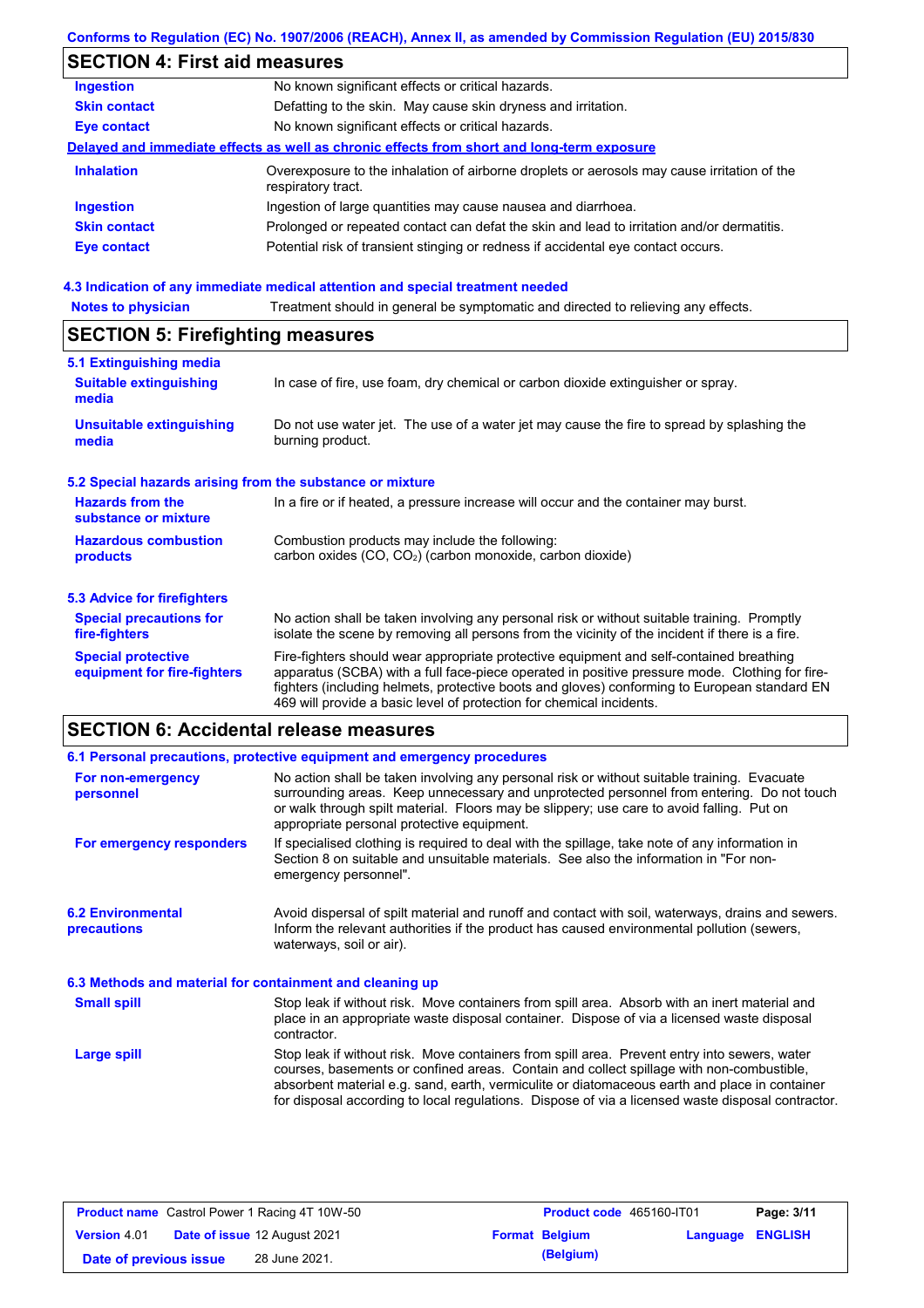## **Conforms to Regulation (EC) No. 1907/2006 (REACH), Annex II, as amended by Commission Regulation (EU) 2015/830**

# **SECTION 4: First aid measures**

| <b>Ingestion</b>    | No known significant effects or critical hazards.                                                                 |
|---------------------|-------------------------------------------------------------------------------------------------------------------|
| <b>Skin contact</b> | Defatting to the skin. May cause skin dryness and irritation.                                                     |
| <b>Eye contact</b>  | No known significant effects or critical hazards.                                                                 |
|                     | Delayed and immediate effects as well as chronic effects from short and long-term exposure                        |
| <b>Inhalation</b>   | Overexposure to the inhalation of airborne droplets or aerosols may cause irritation of the<br>respiratory tract. |
| <b>Ingestion</b>    | Ingestion of large quantities may cause nausea and diarrhoea.                                                     |
| <b>Skin contact</b> | Prolonged or repeated contact can defat the skin and lead to irritation and/or dermatitis.                        |
| <b>Eye contact</b>  | Potential risk of transient stinging or redness if accidental eye contact occurs.                                 |
|                     |                                                                                                                   |

## **4.3 Indication of any immediate medical attention and special treatment needed**

| <b>Notes to physician</b>                                 | Treatment should in general be symptomatic and directed to relieving any effects.                                                                                                                                                                                                                                                                                 |  |  |  |
|-----------------------------------------------------------|-------------------------------------------------------------------------------------------------------------------------------------------------------------------------------------------------------------------------------------------------------------------------------------------------------------------------------------------------------------------|--|--|--|
| <b>SECTION 5: Firefighting measures</b>                   |                                                                                                                                                                                                                                                                                                                                                                   |  |  |  |
| 5.1 Extinguishing media                                   |                                                                                                                                                                                                                                                                                                                                                                   |  |  |  |
| <b>Suitable extinguishing</b><br>media                    | In case of fire, use foam, dry chemical or carbon dioxide extinguisher or spray.                                                                                                                                                                                                                                                                                  |  |  |  |
| <b>Unsuitable extinguishing</b><br>media                  | Do not use water jet. The use of a water jet may cause the fire to spread by splashing the<br>burning product.                                                                                                                                                                                                                                                    |  |  |  |
| 5.2 Special hazards arising from the substance or mixture |                                                                                                                                                                                                                                                                                                                                                                   |  |  |  |
| <b>Hazards from the</b><br>substance or mixture           | In a fire or if heated, a pressure increase will occur and the container may burst.                                                                                                                                                                                                                                                                               |  |  |  |
| <b>Hazardous combustion</b><br>products                   | Combustion products may include the following:<br>carbon oxides (CO, CO <sub>2</sub> ) (carbon monoxide, carbon dioxide)                                                                                                                                                                                                                                          |  |  |  |
| 5.3 Advice for firefighters                               |                                                                                                                                                                                                                                                                                                                                                                   |  |  |  |
| <b>Special precautions for</b><br>fire-fighters           | No action shall be taken involving any personal risk or without suitable training. Promptly<br>isolate the scene by removing all persons from the vicinity of the incident if there is a fire.                                                                                                                                                                    |  |  |  |
| <b>Special protective</b><br>equipment for fire-fighters  | Fire-fighters should wear appropriate protective equipment and self-contained breathing<br>apparatus (SCBA) with a full face-piece operated in positive pressure mode. Clothing for fire-<br>fighters (including helmets, protective boots and gloves) conforming to European standard EN<br>469 will provide a basic level of protection for chemical incidents. |  |  |  |

# **SECTION 6: Accidental release measures**

|                                                          | 6.1 Personal precautions, protective equipment and emergency procedures                                                                                                                                                                                                                                                                                                                        |
|----------------------------------------------------------|------------------------------------------------------------------------------------------------------------------------------------------------------------------------------------------------------------------------------------------------------------------------------------------------------------------------------------------------------------------------------------------------|
| For non-emergency<br>personnel                           | No action shall be taken involving any personal risk or without suitable training. Evacuate<br>surrounding areas. Keep unnecessary and unprotected personnel from entering. Do not touch<br>or walk through spilt material. Floors may be slippery; use care to avoid falling. Put on<br>appropriate personal protective equipment.                                                            |
| For emergency responders                                 | If specialised clothing is required to deal with the spillage, take note of any information in<br>Section 8 on suitable and unsuitable materials. See also the information in "For non-<br>emergency personnel".                                                                                                                                                                               |
| <b>6.2 Environmental</b><br>precautions                  | Avoid dispersal of spilt material and runoff and contact with soil, waterways, drains and sewers.<br>Inform the relevant authorities if the product has caused environmental pollution (sewers,<br>waterways, soil or air).                                                                                                                                                                    |
| 6.3 Methods and material for containment and cleaning up |                                                                                                                                                                                                                                                                                                                                                                                                |
| <b>Small spill</b>                                       | Stop leak if without risk. Move containers from spill area. Absorb with an inert material and<br>place in an appropriate waste disposal container. Dispose of via a licensed waste disposal<br>contractor.                                                                                                                                                                                     |
| Large spill                                              | Stop leak if without risk. Move containers from spill area. Prevent entry into sewers, water<br>courses, basements or confined areas. Contain and collect spillage with non-combustible,<br>absorbent material e.g. sand, earth, vermiculite or diatomaceous earth and place in container<br>for disposal according to local regulations. Dispose of via a licensed waste disposal contractor. |

|                        | <b>Product name</b> Castrol Power 1 Racing 4T 10W-50 | Product code 465160-IT01 |                         | Page: 3/11 |
|------------------------|------------------------------------------------------|--------------------------|-------------------------|------------|
| <b>Version 4.01</b>    | <b>Date of issue 12 August 2021</b>                  | <b>Format Belgium</b>    | <b>Language ENGLISH</b> |            |
| Date of previous issue | 28 June 2021.                                        | (Belgium)                |                         |            |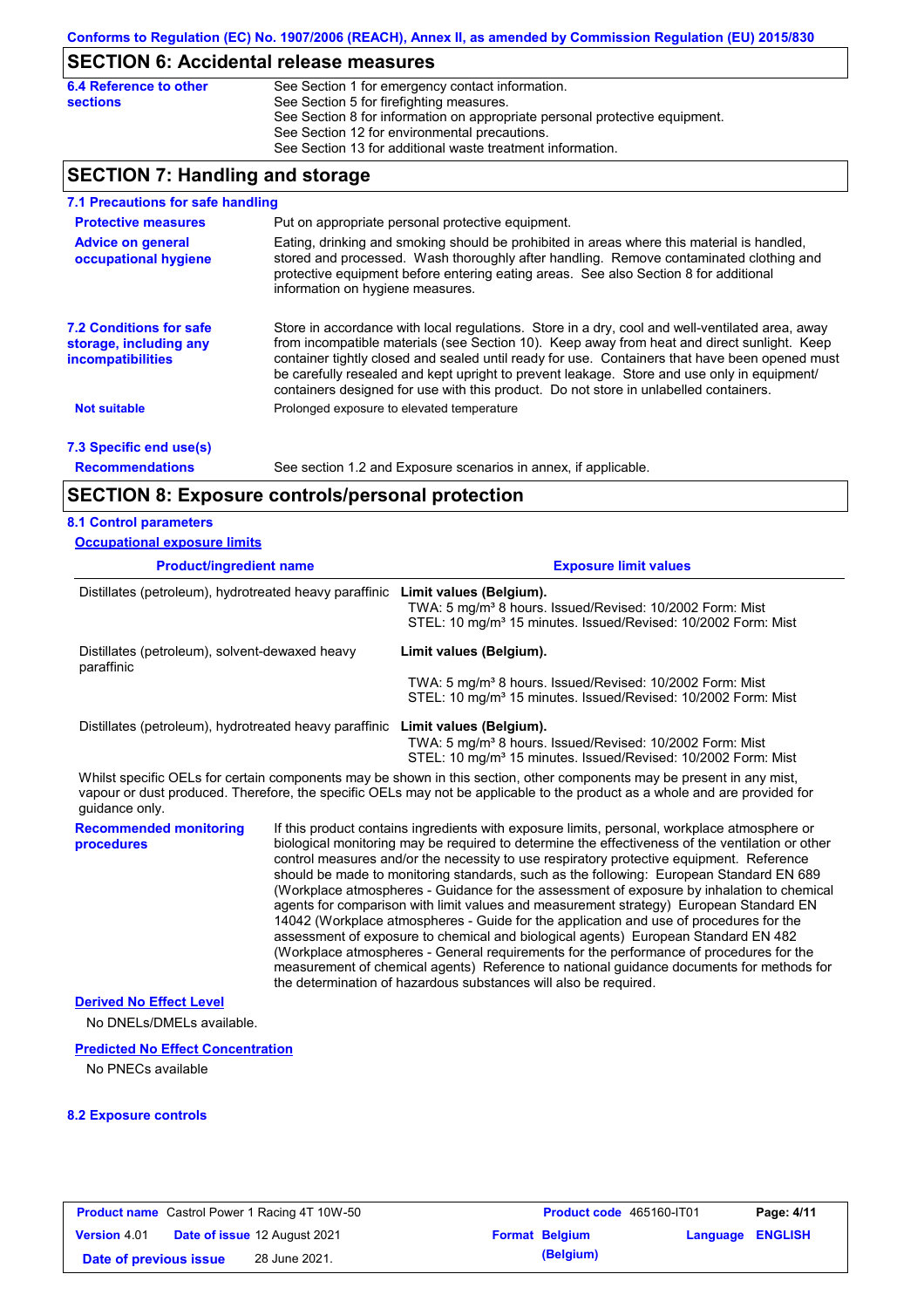# **SECTION 6: Accidental release measures**

| 6.4 Reference to other | See Section 1 for emergency contact information.                            |
|------------------------|-----------------------------------------------------------------------------|
| <b>sections</b>        | See Section 5 for firefighting measures.                                    |
|                        | See Section 8 for information on appropriate personal protective equipment. |
|                        | See Section 12 for environmental precautions.                               |
|                        | See Section 13 for additional waste treatment information.                  |

# **SECTION 7: Handling and storage**

| 7.1 Precautions for safe handling                                                    |                                                                                                                                                                                                                                                                                                                                                                                                                                                                                          |
|--------------------------------------------------------------------------------------|------------------------------------------------------------------------------------------------------------------------------------------------------------------------------------------------------------------------------------------------------------------------------------------------------------------------------------------------------------------------------------------------------------------------------------------------------------------------------------------|
| <b>Protective measures</b>                                                           | Put on appropriate personal protective equipment.                                                                                                                                                                                                                                                                                                                                                                                                                                        |
| <b>Advice on general</b><br>occupational hygiene                                     | Eating, drinking and smoking should be prohibited in areas where this material is handled.<br>stored and processed. Wash thoroughly after handling. Remove contaminated clothing and<br>protective equipment before entering eating areas. See also Section 8 for additional<br>information on hygiene measures.                                                                                                                                                                         |
| <b>7.2 Conditions for safe</b><br>storage, including any<br><b>incompatibilities</b> | Store in accordance with local regulations. Store in a dry, cool and well-ventilated area, away<br>from incompatible materials (see Section 10). Keep away from heat and direct sunlight. Keep<br>container tightly closed and sealed until ready for use. Containers that have been opened must<br>be carefully resealed and kept upright to prevent leakage. Store and use only in equipment/<br>containers designed for use with this product. Do not store in unlabelled containers. |
| <b>Not suitable</b>                                                                  | Prolonged exposure to elevated temperature                                                                                                                                                                                                                                                                                                                                                                                                                                               |
| 7.3 Specific end use(s)                                                              |                                                                                                                                                                                                                                                                                                                                                                                                                                                                                          |
| <b>Recommendations</b>                                                               | See section 1.2 and Exposure scenarios in annex, if applicable.                                                                                                                                                                                                                                                                                                                                                                                                                          |
|                                                                                      | <b>SECTION 8: Exposure controls/personal protection</b>                                                                                                                                                                                                                                                                                                                                                                                                                                  |
|                                                                                      |                                                                                                                                                                                                                                                                                                                                                                                                                                                                                          |

### **8.1 Control parameters Occupational exposure limits**

| <b>Product/ingredient name</b>                                                 |  | <b>Exposure limit values</b>                                                                                                                                                                                                                                                                                                                                                                                                                                                                                                                                                                                                                                                                                                                                                                                                                                                                                                                                                                                               |  |  |
|--------------------------------------------------------------------------------|--|----------------------------------------------------------------------------------------------------------------------------------------------------------------------------------------------------------------------------------------------------------------------------------------------------------------------------------------------------------------------------------------------------------------------------------------------------------------------------------------------------------------------------------------------------------------------------------------------------------------------------------------------------------------------------------------------------------------------------------------------------------------------------------------------------------------------------------------------------------------------------------------------------------------------------------------------------------------------------------------------------------------------------|--|--|
| Distillates (petroleum), hydrotreated heavy paraffinic                         |  | Limit values (Belgium).<br>TWA: 5 mg/m <sup>3</sup> 8 hours. Issued/Revised: 10/2002 Form: Mist<br>STEL: 10 mg/m <sup>3</sup> 15 minutes. Issued/Revised: 10/2002 Form: Mist                                                                                                                                                                                                                                                                                                                                                                                                                                                                                                                                                                                                                                                                                                                                                                                                                                               |  |  |
| Distillates (petroleum), solvent-dewaxed heavy<br>paraffinic                   |  | Limit values (Belgium).                                                                                                                                                                                                                                                                                                                                                                                                                                                                                                                                                                                                                                                                                                                                                                                                                                                                                                                                                                                                    |  |  |
|                                                                                |  | TWA: 5 mg/m <sup>3</sup> 8 hours. Issued/Revised: 10/2002 Form: Mist<br>STEL: 10 mg/m <sup>3</sup> 15 minutes. Issued/Revised: 10/2002 Form: Mist                                                                                                                                                                                                                                                                                                                                                                                                                                                                                                                                                                                                                                                                                                                                                                                                                                                                          |  |  |
| Distillates (petroleum), hydrotreated heavy paraffinic Limit values (Belgium). |  | TWA: 5 mg/m <sup>3</sup> 8 hours. Issued/Revised: 10/2002 Form: Mist<br>STEL: 10 mg/m <sup>3</sup> 15 minutes. Issued/Revised: 10/2002 Form: Mist                                                                                                                                                                                                                                                                                                                                                                                                                                                                                                                                                                                                                                                                                                                                                                                                                                                                          |  |  |
| quidance only.                                                                 |  | Whilst specific OELs for certain components may be shown in this section, other components may be present in any mist,<br>vapour or dust produced. Therefore, the specific OELs may not be applicable to the product as a whole and are provided for                                                                                                                                                                                                                                                                                                                                                                                                                                                                                                                                                                                                                                                                                                                                                                       |  |  |
| <b>Recommended monitoring</b><br>procedures                                    |  | If this product contains ingredients with exposure limits, personal, workplace atmosphere or<br>biological monitoring may be required to determine the effectiveness of the ventilation or other<br>control measures and/or the necessity to use respiratory protective equipment. Reference<br>should be made to monitoring standards, such as the following: European Standard EN 689<br>(Workplace atmospheres - Guidance for the assessment of exposure by inhalation to chemical<br>agents for comparison with limit values and measurement strategy) European Standard EN<br>14042 (Workplace atmospheres - Guide for the application and use of procedures for the<br>assessment of exposure to chemical and biological agents) European Standard EN 482<br>(Workplace atmospheres - General requirements for the performance of procedures for the<br>measurement of chemical agents) Reference to national guidance documents for methods for<br>the determination of hazardous substances will also be required. |  |  |
| <b>Derived No Effect Level</b>                                                 |  |                                                                                                                                                                                                                                                                                                                                                                                                                                                                                                                                                                                                                                                                                                                                                                                                                                                                                                                                                                                                                            |  |  |
| No DNELs/DMELs available.                                                      |  |                                                                                                                                                                                                                                                                                                                                                                                                                                                                                                                                                                                                                                                                                                                                                                                                                                                                                                                                                                                                                            |  |  |
| <b>Predicted No Effect Concentration</b>                                       |  |                                                                                                                                                                                                                                                                                                                                                                                                                                                                                                                                                                                                                                                                                                                                                                                                                                                                                                                                                                                                                            |  |  |
| No PNECs available                                                             |  |                                                                                                                                                                                                                                                                                                                                                                                                                                                                                                                                                                                                                                                                                                                                                                                                                                                                                                                                                                                                                            |  |  |

## **8.2 Exposure controls**

| <b>Product name</b> Castrol Power 1 Racing 4T 10W-50 |  | Product code 465160-IT01            |  | Page: 4/11            |                  |  |
|------------------------------------------------------|--|-------------------------------------|--|-----------------------|------------------|--|
| <b>Version 4.01</b>                                  |  | <b>Date of issue 12 August 2021</b> |  | <b>Format Belgium</b> | Language ENGLISH |  |
| Date of previous issue                               |  | 28 June 2021.                       |  | (Belgium)             |                  |  |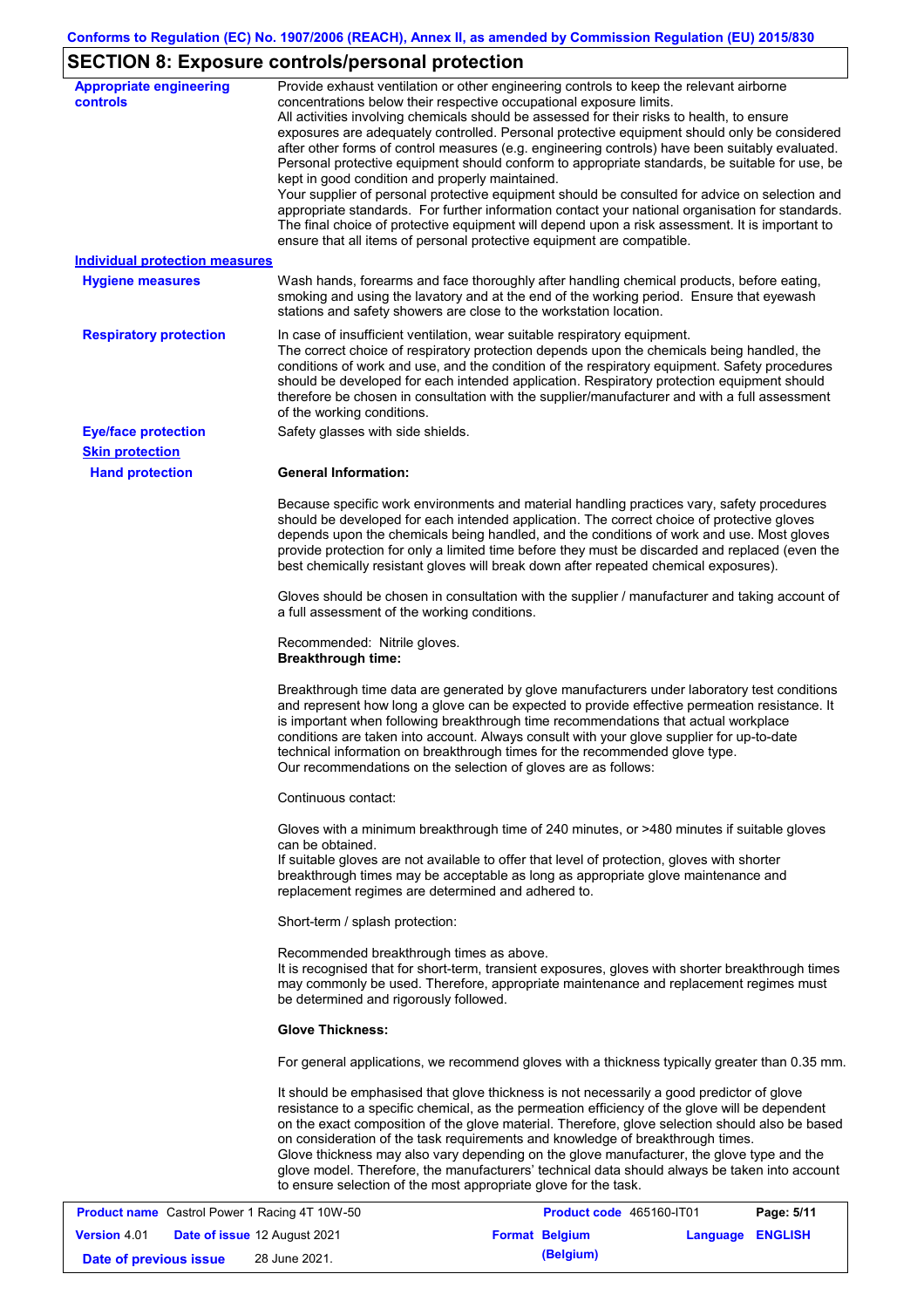# **SECTION 8: Exposure controls/personal protection**

| <b>Appropriate engineering</b><br><b>controls</b>    | Provide exhaust ventilation or other engineering controls to keep the relevant airborne<br>concentrations below their respective occupational exposure limits.<br>All activities involving chemicals should be assessed for their risks to health, to ensure<br>exposures are adequately controlled. Personal protective equipment should only be considered<br>after other forms of control measures (e.g. engineering controls) have been suitably evaluated.<br>Personal protective equipment should conform to appropriate standards, be suitable for use, be<br>kept in good condition and properly maintained.<br>Your supplier of personal protective equipment should be consulted for advice on selection and<br>appropriate standards. For further information contact your national organisation for standards.<br>The final choice of protective equipment will depend upon a risk assessment. It is important to<br>ensure that all items of personal protective equipment are compatible. |
|------------------------------------------------------|---------------------------------------------------------------------------------------------------------------------------------------------------------------------------------------------------------------------------------------------------------------------------------------------------------------------------------------------------------------------------------------------------------------------------------------------------------------------------------------------------------------------------------------------------------------------------------------------------------------------------------------------------------------------------------------------------------------------------------------------------------------------------------------------------------------------------------------------------------------------------------------------------------------------------------------------------------------------------------------------------------|
| <b>Individual protection measures</b>                |                                                                                                                                                                                                                                                                                                                                                                                                                                                                                                                                                                                                                                                                                                                                                                                                                                                                                                                                                                                                         |
| <b>Hygiene measures</b>                              | Wash hands, forearms and face thoroughly after handling chemical products, before eating,<br>smoking and using the lavatory and at the end of the working period. Ensure that eyewash<br>stations and safety showers are close to the workstation location.                                                                                                                                                                                                                                                                                                                                                                                                                                                                                                                                                                                                                                                                                                                                             |
| <b>Respiratory protection</b>                        | In case of insufficient ventilation, wear suitable respiratory equipment.<br>The correct choice of respiratory protection depends upon the chemicals being handled, the<br>conditions of work and use, and the condition of the respiratory equipment. Safety procedures<br>should be developed for each intended application. Respiratory protection equipment should<br>therefore be chosen in consultation with the supplier/manufacturer and with a full assessment<br>of the working conditions.                                                                                                                                                                                                                                                                                                                                                                                                                                                                                                   |
| <b>Eye/face protection</b>                           | Safety glasses with side shields.                                                                                                                                                                                                                                                                                                                                                                                                                                                                                                                                                                                                                                                                                                                                                                                                                                                                                                                                                                       |
| <b>Skin protection</b>                               |                                                                                                                                                                                                                                                                                                                                                                                                                                                                                                                                                                                                                                                                                                                                                                                                                                                                                                                                                                                                         |
| <b>Hand protection</b>                               | <b>General Information:</b>                                                                                                                                                                                                                                                                                                                                                                                                                                                                                                                                                                                                                                                                                                                                                                                                                                                                                                                                                                             |
|                                                      | Because specific work environments and material handling practices vary, safety procedures<br>should be developed for each intended application. The correct choice of protective gloves<br>depends upon the chemicals being handled, and the conditions of work and use. Most gloves<br>provide protection for only a limited time before they must be discarded and replaced (even the<br>best chemically resistant gloves will break down after repeated chemical exposures).                                                                                                                                                                                                                                                                                                                                                                                                                                                                                                                        |
|                                                      | Gloves should be chosen in consultation with the supplier / manufacturer and taking account of<br>a full assessment of the working conditions.                                                                                                                                                                                                                                                                                                                                                                                                                                                                                                                                                                                                                                                                                                                                                                                                                                                          |
|                                                      | Recommended: Nitrile gloves.<br><b>Breakthrough time:</b>                                                                                                                                                                                                                                                                                                                                                                                                                                                                                                                                                                                                                                                                                                                                                                                                                                                                                                                                               |
|                                                      | Breakthrough time data are generated by glove manufacturers under laboratory test conditions<br>and represent how long a glove can be expected to provide effective permeation resistance. It<br>is important when following breakthrough time recommendations that actual workplace<br>conditions are taken into account. Always consult with your glove supplier for up-to-date<br>technical information on breakthrough times for the recommended glove type.<br>Our recommendations on the selection of gloves are as follows:                                                                                                                                                                                                                                                                                                                                                                                                                                                                      |
|                                                      | Continuous contact:                                                                                                                                                                                                                                                                                                                                                                                                                                                                                                                                                                                                                                                                                                                                                                                                                                                                                                                                                                                     |
|                                                      | Gloves with a minimum breakthrough time of 240 minutes, or >480 minutes if suitable gloves<br>can be obtained.<br>If suitable gloves are not available to offer that level of protection, gloves with shorter<br>breakthrough times may be acceptable as long as appropriate glove maintenance and<br>replacement regimes are determined and adhered to.                                                                                                                                                                                                                                                                                                                                                                                                                                                                                                                                                                                                                                                |
|                                                      | Short-term / splash protection:                                                                                                                                                                                                                                                                                                                                                                                                                                                                                                                                                                                                                                                                                                                                                                                                                                                                                                                                                                         |
|                                                      | Recommended breakthrough times as above.<br>It is recognised that for short-term, transient exposures, gloves with shorter breakthrough times<br>may commonly be used. Therefore, appropriate maintenance and replacement regimes must<br>be determined and rigorously followed.                                                                                                                                                                                                                                                                                                                                                                                                                                                                                                                                                                                                                                                                                                                        |
|                                                      | <b>Glove Thickness:</b>                                                                                                                                                                                                                                                                                                                                                                                                                                                                                                                                                                                                                                                                                                                                                                                                                                                                                                                                                                                 |
|                                                      | For general applications, we recommend gloves with a thickness typically greater than 0.35 mm.                                                                                                                                                                                                                                                                                                                                                                                                                                                                                                                                                                                                                                                                                                                                                                                                                                                                                                          |
|                                                      | It should be emphasised that glove thickness is not necessarily a good predictor of glove<br>resistance to a specific chemical, as the permeation efficiency of the glove will be dependent<br>on the exact composition of the glove material. Therefore, glove selection should also be based<br>on consideration of the task requirements and knowledge of breakthrough times.<br>Glove thickness may also vary depending on the glove manufacturer, the glove type and the<br>glove model. Therefore, the manufacturers' technical data should always be taken into account<br>to ensure selection of the most appropriate glove for the task.                                                                                                                                                                                                                                                                                                                                                       |
| <b>Product name</b> Castrol Power 1 Racing 4T 10W-50 | <b>Product code</b> 465160-JT01<br>Page: 5/11                                                                                                                                                                                                                                                                                                                                                                                                                                                                                                                                                                                                                                                                                                                                                                                                                                                                                                                                                           |

|                        | <b>Product name</b> Castrol Power 1 Racing 4T 10W-50 | Product code 465160-IT01 |                  | Page: 5/11 |
|------------------------|------------------------------------------------------|--------------------------|------------------|------------|
| <b>Version 4.01</b>    | <b>Date of issue 12 August 2021</b>                  | <b>Format Belgium</b>    | Language ENGLISH |            |
| Date of previous issue | 28 June 2021.                                        | (Belgium)                |                  |            |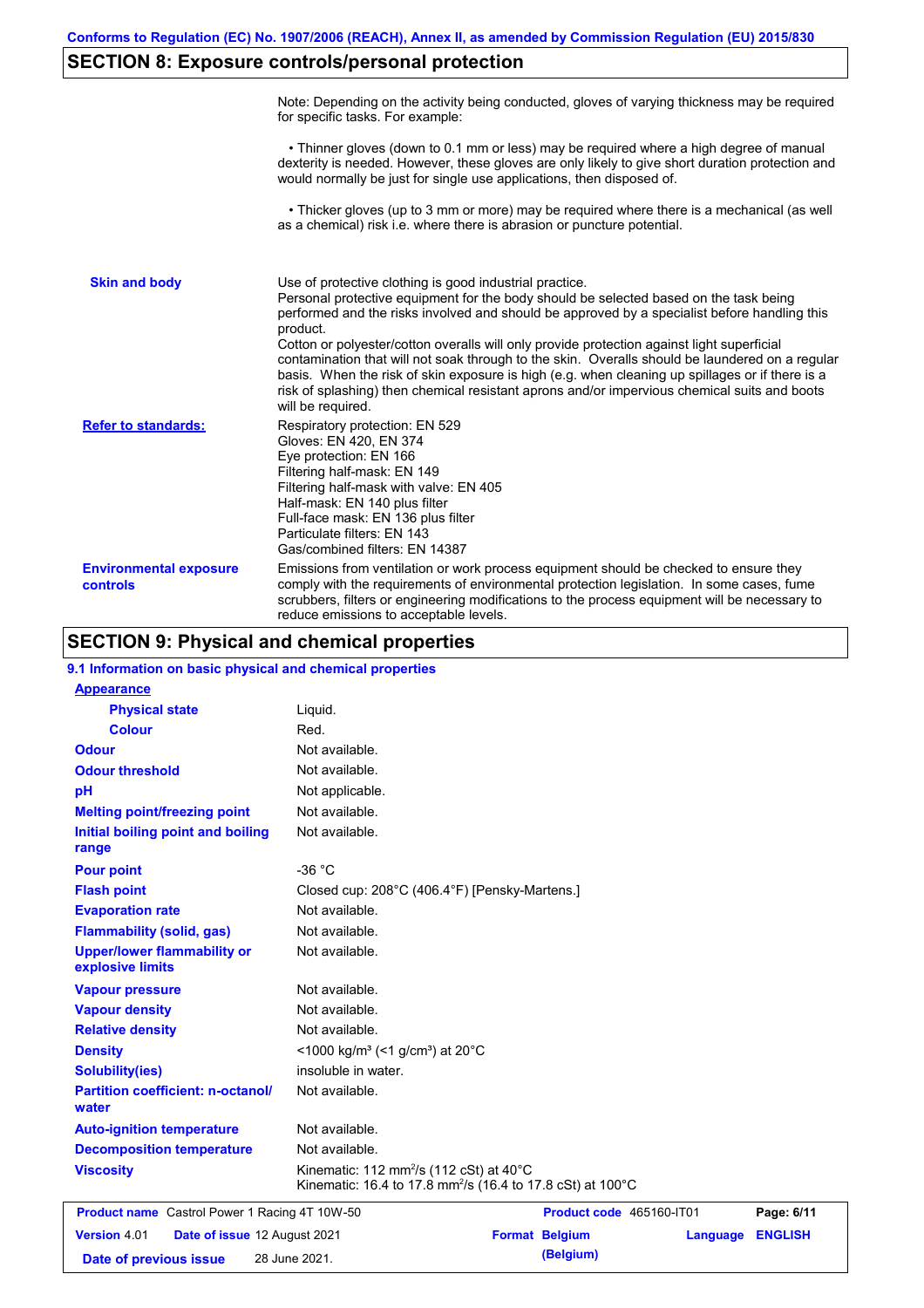# **SECTION 8: Exposure controls/personal protection**

|                                           | Note: Depending on the activity being conducted, gloves of varying thickness may be required<br>for specific tasks. For example:                                                                                                                                                                                                                                                                                                                                                                                                                                                                                                                                                      |
|-------------------------------------------|---------------------------------------------------------------------------------------------------------------------------------------------------------------------------------------------------------------------------------------------------------------------------------------------------------------------------------------------------------------------------------------------------------------------------------------------------------------------------------------------------------------------------------------------------------------------------------------------------------------------------------------------------------------------------------------|
|                                           | • Thinner gloves (down to 0.1 mm or less) may be required where a high degree of manual<br>dexterity is needed. However, these gloves are only likely to give short duration protection and<br>would normally be just for single use applications, then disposed of.                                                                                                                                                                                                                                                                                                                                                                                                                  |
|                                           | • Thicker gloves (up to 3 mm or more) may be required where there is a mechanical (as well<br>as a chemical) risk i.e. where there is abrasion or puncture potential.                                                                                                                                                                                                                                                                                                                                                                                                                                                                                                                 |
| <b>Skin and body</b>                      | Use of protective clothing is good industrial practice.<br>Personal protective equipment for the body should be selected based on the task being<br>performed and the risks involved and should be approved by a specialist before handling this<br>product.<br>Cotton or polyester/cotton overalls will only provide protection against light superficial<br>contamination that will not soak through to the skin. Overalls should be laundered on a regular<br>basis. When the risk of skin exposure is high (e.g. when cleaning up spillages or if there is a<br>risk of splashing) then chemical resistant aprons and/or impervious chemical suits and boots<br>will be required. |
| <b>Refer to standards:</b>                | Respiratory protection: EN 529<br>Gloves: EN 420, EN 374<br>Eye protection: EN 166<br>Filtering half-mask: EN 149<br>Filtering half-mask with valve: EN 405<br>Half-mask: EN 140 plus filter<br>Full-face mask: EN 136 plus filter<br>Particulate filters: EN 143<br>Gas/combined filters: EN 14387                                                                                                                                                                                                                                                                                                                                                                                   |
| <b>Environmental exposure</b><br>controls | Emissions from ventilation or work process equipment should be checked to ensure they<br>comply with the requirements of environmental protection legislation. In some cases, fume<br>scrubbers, filters or engineering modifications to the process equipment will be necessary to<br>reduce emissions to acceptable levels.                                                                                                                                                                                                                                                                                                                                                         |

# **SECTION 9: Physical and chemical properties**

| 9.1 Information on basic physical and chemical properties |                                                                                                                                         |                          |          |                |
|-----------------------------------------------------------|-----------------------------------------------------------------------------------------------------------------------------------------|--------------------------|----------|----------------|
| <b>Appearance</b>                                         |                                                                                                                                         |                          |          |                |
| <b>Physical state</b>                                     | Liquid.                                                                                                                                 |                          |          |                |
| <b>Colour</b>                                             | Red.                                                                                                                                    |                          |          |                |
| <b>Odour</b>                                              | Not available.                                                                                                                          |                          |          |                |
| <b>Odour threshold</b>                                    | Not available.                                                                                                                          |                          |          |                |
| pH                                                        | Not applicable.                                                                                                                         |                          |          |                |
| <b>Melting point/freezing point</b>                       | Not available.                                                                                                                          |                          |          |                |
| <b>Initial boiling point and boiling</b><br>range         | Not available.                                                                                                                          |                          |          |                |
| <b>Pour point</b>                                         | $-36 °C$                                                                                                                                |                          |          |                |
| <b>Flash point</b>                                        | Closed cup: 208°C (406.4°F) [Pensky-Martens.]                                                                                           |                          |          |                |
| <b>Evaporation rate</b>                                   | Not available.                                                                                                                          |                          |          |                |
| <b>Flammability (solid, gas)</b>                          | Not available.                                                                                                                          |                          |          |                |
| <b>Upper/lower flammability or</b><br>explosive limits    | Not available.                                                                                                                          |                          |          |                |
| <b>Vapour pressure</b>                                    | Not available.                                                                                                                          |                          |          |                |
| <b>Vapour density</b>                                     | Not available.                                                                                                                          |                          |          |                |
| <b>Relative density</b>                                   | Not available.                                                                                                                          |                          |          |                |
| <b>Density</b>                                            | <1000 kg/m <sup>3</sup> (<1 g/cm <sup>3</sup> ) at 20 <sup>°</sup> C                                                                    |                          |          |                |
| <b>Solubility(ies)</b>                                    | insoluble in water.                                                                                                                     |                          |          |                |
| <b>Partition coefficient: n-octanol/</b><br>water         | Not available.                                                                                                                          |                          |          |                |
| <b>Auto-ignition temperature</b>                          | Not available.                                                                                                                          |                          |          |                |
| <b>Decomposition temperature</b>                          | Not available.                                                                                                                          |                          |          |                |
| <b>Viscosity</b>                                          | Kinematic: 112 mm <sup>2</sup> /s (112 cSt) at $40^{\circ}$ C<br>Kinematic: 16.4 to 17.8 mm <sup>2</sup> /s (16.4 to 17.8 cSt) at 100°C |                          |          |                |
| <b>Product name</b> Castrol Power 1 Racing 4T 10W-50      |                                                                                                                                         | Product code 465160-IT01 |          | Page: 6/11     |
| <b>Version 4.01</b><br>Date of issue 12 August 2021       |                                                                                                                                         | <b>Format Belgium</b>    | Language | <b>ENGLISH</b> |
| Date of previous issue                                    | 28 June 2021.                                                                                                                           | (Belgium)                |          |                |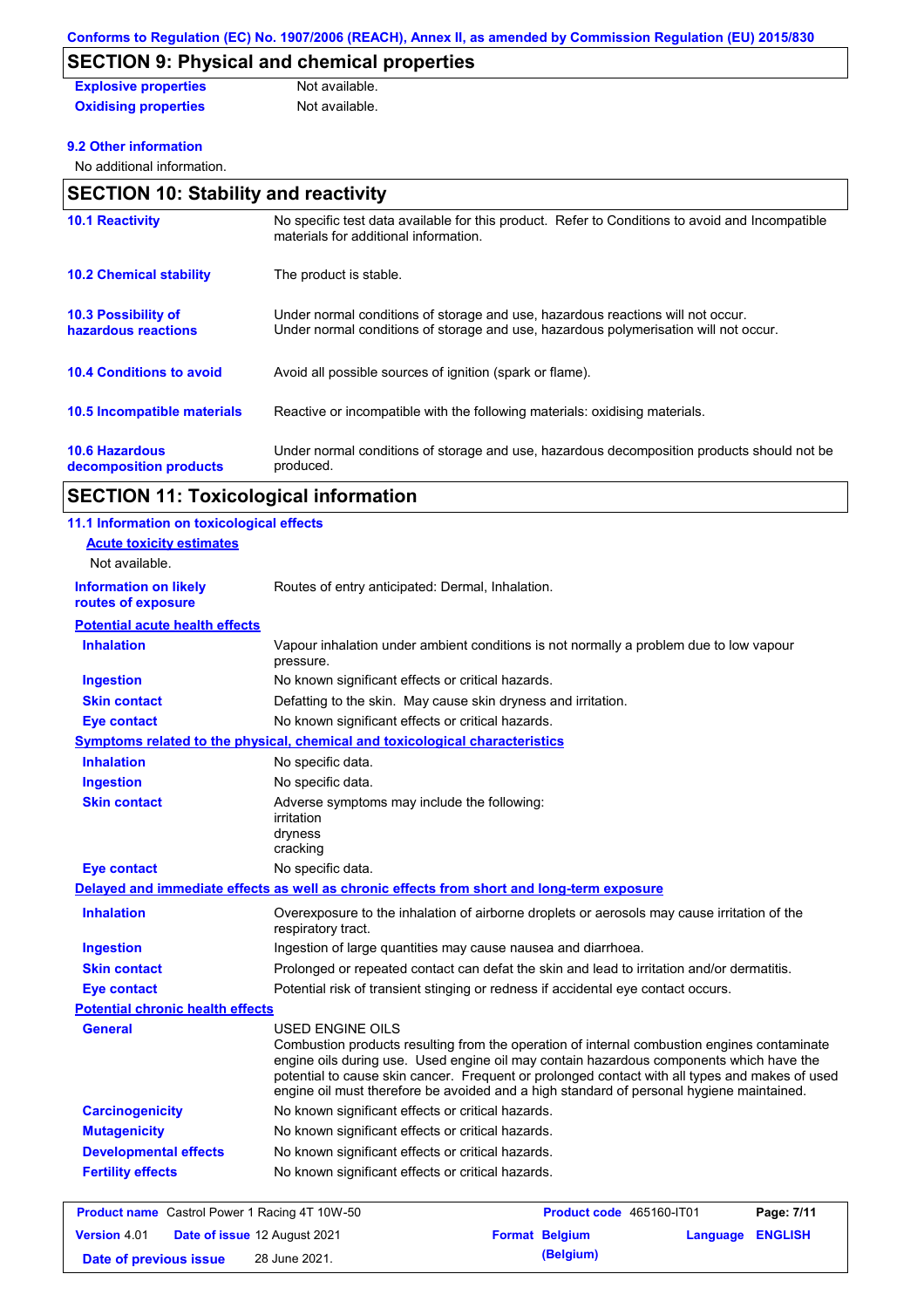# **SECTION 9: Physical and chemical properties**

| <b>Explosive properties</b> | Not available. |
|-----------------------------|----------------|
| <b>Oxidising properties</b> | Not available. |

### **9.2 Other information**

No additional information.

| <b>SECTION 10: Stability and reactivity</b>                                                                                                                             |  |  |
|-------------------------------------------------------------------------------------------------------------------------------------------------------------------------|--|--|
| No specific test data available for this product. Refer to Conditions to avoid and Incompatible<br>materials for additional information.                                |  |  |
| The product is stable.                                                                                                                                                  |  |  |
| Under normal conditions of storage and use, hazardous reactions will not occur.<br>Under normal conditions of storage and use, hazardous polymerisation will not occur. |  |  |
| Avoid all possible sources of ignition (spark or flame).                                                                                                                |  |  |
| Reactive or incompatible with the following materials: oxidising materials.                                                                                             |  |  |
| Under normal conditions of storage and use, hazardous decomposition products should not be<br>produced.                                                                 |  |  |
|                                                                                                                                                                         |  |  |

## **SECTION 11: Toxicological information**

| 11.1 Information on toxicological effects            |                                                                                                                                                                                                                                                                                                                                                                                                          |  |
|------------------------------------------------------|----------------------------------------------------------------------------------------------------------------------------------------------------------------------------------------------------------------------------------------------------------------------------------------------------------------------------------------------------------------------------------------------------------|--|
| <b>Acute toxicity estimates</b>                      |                                                                                                                                                                                                                                                                                                                                                                                                          |  |
| Not available.                                       |                                                                                                                                                                                                                                                                                                                                                                                                          |  |
| <b>Information on likely</b><br>routes of exposure   | Routes of entry anticipated: Dermal, Inhalation.                                                                                                                                                                                                                                                                                                                                                         |  |
| <b>Potential acute health effects</b>                |                                                                                                                                                                                                                                                                                                                                                                                                          |  |
| <b>Inhalation</b>                                    | Vapour inhalation under ambient conditions is not normally a problem due to low vapour<br>pressure.                                                                                                                                                                                                                                                                                                      |  |
| <b>Ingestion</b>                                     | No known significant effects or critical hazards.                                                                                                                                                                                                                                                                                                                                                        |  |
| <b>Skin contact</b>                                  | Defatting to the skin. May cause skin dryness and irritation.                                                                                                                                                                                                                                                                                                                                            |  |
| <b>Eye contact</b>                                   | No known significant effects or critical hazards.                                                                                                                                                                                                                                                                                                                                                        |  |
|                                                      | Symptoms related to the physical, chemical and toxicological characteristics                                                                                                                                                                                                                                                                                                                             |  |
| <b>Inhalation</b>                                    | No specific data.                                                                                                                                                                                                                                                                                                                                                                                        |  |
| <b>Ingestion</b>                                     | No specific data.                                                                                                                                                                                                                                                                                                                                                                                        |  |
| <b>Skin contact</b>                                  | Adverse symptoms may include the following:<br>irritation<br>dryness<br>cracking                                                                                                                                                                                                                                                                                                                         |  |
| Eye contact                                          | No specific data.                                                                                                                                                                                                                                                                                                                                                                                        |  |
|                                                      | Delayed and immediate effects as well as chronic effects from short and long-term exposure                                                                                                                                                                                                                                                                                                               |  |
| <b>Inhalation</b>                                    | Overexposure to the inhalation of airborne droplets or aerosols may cause irritation of the<br>respiratory tract.                                                                                                                                                                                                                                                                                        |  |
| <b>Ingestion</b>                                     | Ingestion of large quantities may cause nausea and diarrhoea.                                                                                                                                                                                                                                                                                                                                            |  |
| <b>Skin contact</b>                                  | Prolonged or repeated contact can defat the skin and lead to irritation and/or dermatitis.                                                                                                                                                                                                                                                                                                               |  |
| <b>Eye contact</b>                                   | Potential risk of transient stinging or redness if accidental eye contact occurs.                                                                                                                                                                                                                                                                                                                        |  |
| <b>Potential chronic health effects</b>              |                                                                                                                                                                                                                                                                                                                                                                                                          |  |
| <b>General</b>                                       | USED ENGINE OILS<br>Combustion products resulting from the operation of internal combustion engines contaminate<br>engine oils during use. Used engine oil may contain hazardous components which have the<br>potential to cause skin cancer. Frequent or prolonged contact with all types and makes of used<br>engine oil must therefore be avoided and a high standard of personal hygiene maintained. |  |
| <b>Carcinogenicity</b>                               | No known significant effects or critical hazards.                                                                                                                                                                                                                                                                                                                                                        |  |
| <b>Mutagenicity</b>                                  | No known significant effects or critical hazards.                                                                                                                                                                                                                                                                                                                                                        |  |
| <b>Developmental effects</b>                         | No known significant effects or critical hazards.                                                                                                                                                                                                                                                                                                                                                        |  |
| <b>Fertility effects</b>                             | No known significant effects or critical hazards.                                                                                                                                                                                                                                                                                                                                                        |  |
|                                                      | Product code 465160-IT01                                                                                                                                                                                                                                                                                                                                                                                 |  |
| <b>Product name</b> Castrol Power 1 Racing 4T 10W-50 | Page: 7/11                                                                                                                                                                                                                                                                                                                                                                                               |  |
| <b>Version 4.01</b>                                  | <b>Date of issue 12 August 2021</b><br><b>Format Belgium</b><br>Language<br><b>ENGLISH</b>                                                                                                                                                                                                                                                                                                               |  |
| Date of previous issue                               | (Belgium)<br>28 June 2021.                                                                                                                                                                                                                                                                                                                                                                               |  |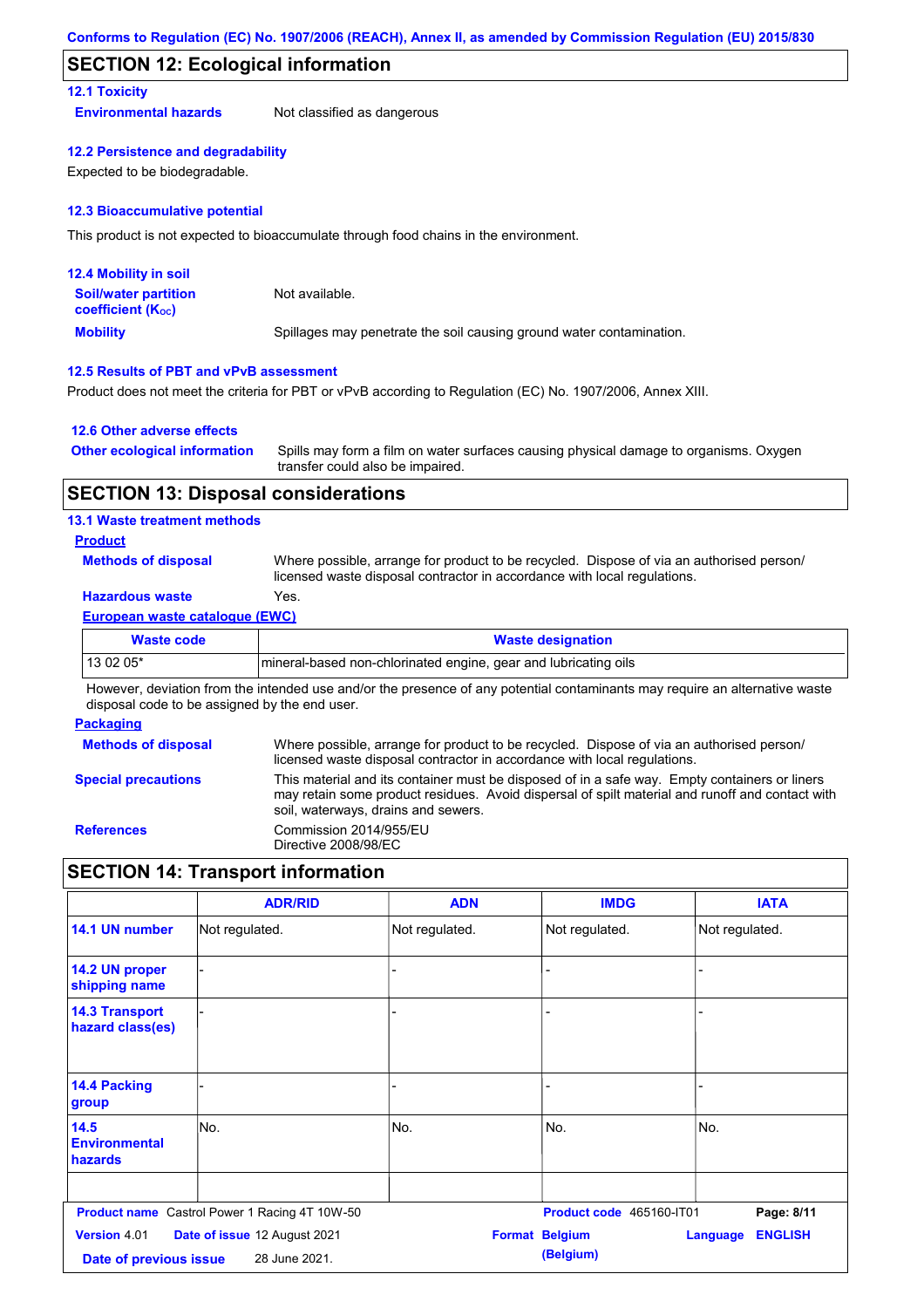## **SECTION 12: Ecological information**

## **12.1 Toxicity**

**Environmental hazards** Not classified as dangerous

#### **12.2 Persistence and degradability**

Expected to be biodegradable.

#### **12.3 Bioaccumulative potential**

This product is not expected to bioaccumulate through food chains in the environment.

| <b>12.4 Mobility in soil</b>                            |                                                                      |
|---------------------------------------------------------|----------------------------------------------------------------------|
| <b>Soil/water partition</b><br><b>coefficient (Koc)</b> | Not available.                                                       |
| <b>Mobility</b>                                         | Spillages may penetrate the soil causing ground water contamination. |

### **12.5 Results of PBT and vPvB assessment**

Product does not meet the criteria for PBT or vPvB according to Regulation (EC) No. 1907/2006, Annex XIII.

#### **12.6 Other adverse effects**

| <b>Other ecological information</b> | Spills may form a film on water surfaces causing physical damage to organisms. Oxygen |
|-------------------------------------|---------------------------------------------------------------------------------------|
|                                     | transfer could also be impaired.                                                      |

## **SECTION 13: Disposal considerations**

### **13.1 Waste treatment methods**

### **Product**

**Methods of disposal**

Where possible, arrange for product to be recycled. Dispose of via an authorised person/ licensed waste disposal contractor in accordance with local regulations.

## **Hazardous waste** Yes.

#### **European waste catalogue (EWC)**

| Waste code | <b>Waste designation</b>                                        |
|------------|-----------------------------------------------------------------|
| 13 02 05*  | mineral-based non-chlorinated engine, gear and lubricating oils |

However, deviation from the intended use and/or the presence of any potential contaminants may require an alternative waste disposal code to be assigned by the end user.

### **Packaging**

| <b>Methods of disposal</b> | Where possible, arrange for product to be recycled. Dispose of via an authorised person/<br>licensed waste disposal contractor in accordance with local regulations.                                                                    |
|----------------------------|-----------------------------------------------------------------------------------------------------------------------------------------------------------------------------------------------------------------------------------------|
| <b>Special precautions</b> | This material and its container must be disposed of in a safe way. Empty containers or liners<br>may retain some product residues. Avoid dispersal of spilt material and runoff and contact with<br>soil, waterways, drains and sewers. |
| <b>References</b>          | Commission 2014/955/EU<br>Directive 2008/98/EC                                                                                                                                                                                          |

## **SECTION 14: Transport information**

|                                           | <b>ADR/RID</b>                                       | <b>ADN</b>     | <b>IMDG</b>                        | <b>IATA</b>                |
|-------------------------------------------|------------------------------------------------------|----------------|------------------------------------|----------------------------|
| 14.1 UN number                            | Not regulated.                                       | Not regulated. | Not regulated.                     | Not regulated.             |
| 14.2 UN proper<br>shipping name           |                                                      |                |                                    |                            |
| <b>14.3 Transport</b><br>hazard class(es) |                                                      |                |                                    |                            |
| 14.4 Packing<br>group                     |                                                      |                |                                    |                            |
| 14.5<br><b>Environmental</b><br>hazards   | No.                                                  | No.            | No.                                | No.                        |
|                                           | <b>Product name</b> Castrol Power 1 Racing 4T 10W-50 |                | Product code 465160-IT01           | Page: 8/11                 |
| Version 4.01<br>Date of previous issue    | Date of issue 12 August 2021<br>28 June 2021.        |                | <b>Format Belgium</b><br>(Belgium) | <b>ENGLISH</b><br>Language |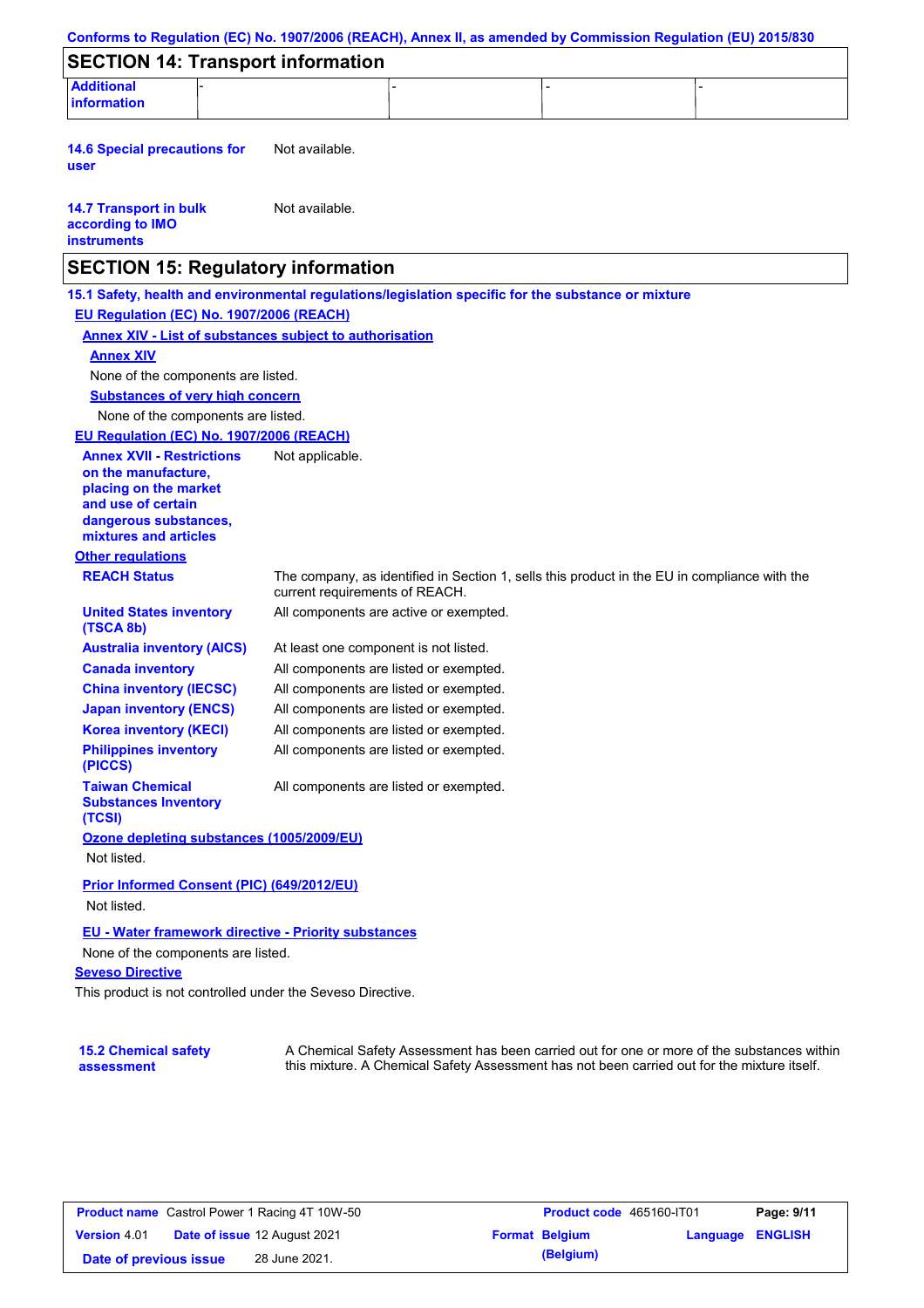| <b>Additional</b>                                                                                   |                                        |  |                                                                                              |
|-----------------------------------------------------------------------------------------------------|----------------------------------------|--|----------------------------------------------------------------------------------------------|
| information                                                                                         |                                        |  |                                                                                              |
| <b>14.6 Special precautions for</b><br>user                                                         | Not available.                         |  |                                                                                              |
| <b>14.7 Transport in bulk</b><br>according to IMO<br><b>instruments</b>                             | Not available.                         |  |                                                                                              |
| <b>SECTION 15: Regulatory information</b>                                                           |                                        |  |                                                                                              |
| 15.1 Safety, health and environmental regulations/legislation specific for the substance or mixture |                                        |  |                                                                                              |
| EU Regulation (EC) No. 1907/2006 (REACH)                                                            |                                        |  |                                                                                              |
| <b>Annex XIV - List of substances subject to authorisation</b>                                      |                                        |  |                                                                                              |
| <b>Annex XIV</b>                                                                                    |                                        |  |                                                                                              |
| None of the components are listed.                                                                  |                                        |  |                                                                                              |
| <b>Substances of very high concern</b>                                                              |                                        |  |                                                                                              |
| None of the components are listed.                                                                  |                                        |  |                                                                                              |
| EU Regulation (EC) No. 1907/2006 (REACH)                                                            |                                        |  |                                                                                              |
| <b>Annex XVII - Restrictions</b><br>on the manufacture.<br>placing on the market                    | Not applicable.                        |  |                                                                                              |
| and use of certain                                                                                  |                                        |  |                                                                                              |
| dangerous substances,                                                                               |                                        |  |                                                                                              |
| mixtures and articles                                                                               |                                        |  |                                                                                              |
| <b>Other regulations</b>                                                                            |                                        |  |                                                                                              |
| <b>REACH Status</b>                                                                                 | current requirements of REACH.         |  | The company, as identified in Section 1, sells this product in the EU in compliance with the |
| <b>United States inventory</b><br>(TSCA 8b)                                                         | All components are active or exempted. |  |                                                                                              |
| <b>Australia inventory (AICS)</b>                                                                   | At least one component is not listed.  |  |                                                                                              |
| <b>Canada inventory</b>                                                                             | All components are listed or exempted. |  |                                                                                              |
| <b>China inventory (IECSC)</b>                                                                      | All components are listed or exempted. |  |                                                                                              |
| <b>Japan inventory (ENCS)</b>                                                                       | All components are listed or exempted. |  |                                                                                              |
| <b>Korea inventory (KECI)</b>                                                                       | All components are listed or exempted. |  |                                                                                              |
| <b>Philippines inventory</b><br>(PICCS)                                                             | All components are listed or exempted. |  |                                                                                              |
| <b>Taiwan Chemical</b><br><b>Substances Inventory</b><br>(TCSI)                                     | All components are listed or exempted. |  |                                                                                              |
| Ozone depleting substances (1005/2009/EU)                                                           |                                        |  |                                                                                              |
| Not listed.                                                                                         |                                        |  |                                                                                              |
| Prior Informed Consent (PIC) (649/2012/EU)                                                          |                                        |  |                                                                                              |
| Not listed.                                                                                         |                                        |  |                                                                                              |
| <b>EU - Water framework directive - Priority substances</b>                                         |                                        |  |                                                                                              |
| None of the components are listed.                                                                  |                                        |  |                                                                                              |
| <b>Seveso Directive</b>                                                                             |                                        |  |                                                                                              |
|                                                                                                     |                                        |  |                                                                                              |

**15.2 Chemical safety assessment**

A Chemical Safety Assessment has been carried out for one or more of the substances within this mixture. A Chemical Safety Assessment has not been carried out for the mixture itself.

|                        | <b>Product name</b> Castrol Power 1 Racing 4T 10W-50 | <b>Product code</b>   |
|------------------------|------------------------------------------------------|-----------------------|
| <b>Version 4.01</b>    | <b>Date of issue 12 August 2021</b>                  | <b>Format Belgium</b> |
| Date of previous issue | 28 June 2021.                                        | (Belgium)             |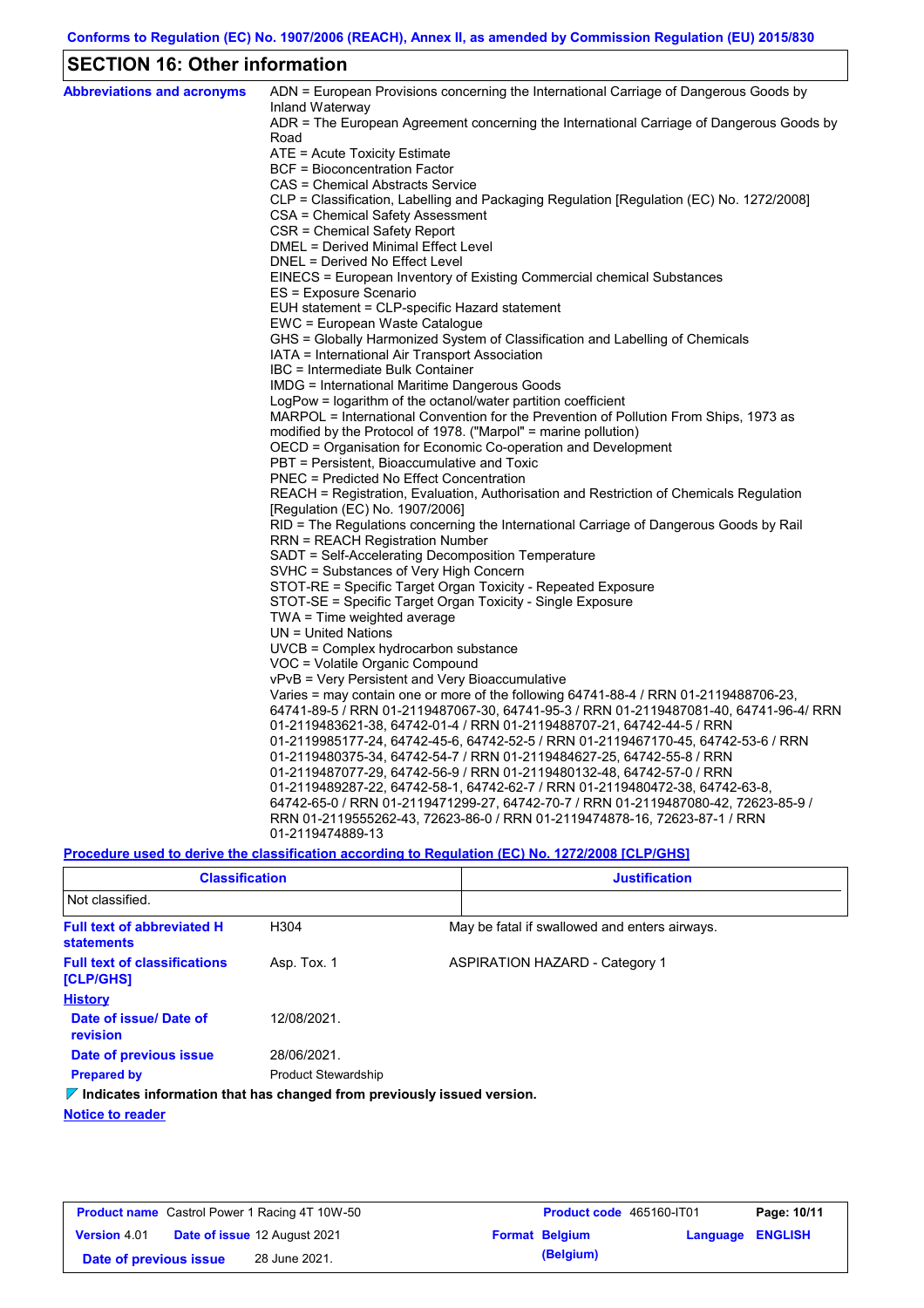## **SECTION 16: Other information**

| <b>Abbreviations and acronyms</b> | ADN = European Provisions concerning the International Carriage of Dangerous Goods by<br>Inland Waterway |
|-----------------------------------|----------------------------------------------------------------------------------------------------------|
|                                   | ADR = The European Agreement concerning the International Carriage of Dangerous Goods by<br>Road         |
|                                   | ATE = Acute Toxicity Estimate                                                                            |
|                                   | <b>BCF</b> = Bioconcentration Factor                                                                     |
|                                   | CAS = Chemical Abstracts Service                                                                         |
|                                   | CLP = Classification, Labelling and Packaging Regulation [Regulation (EC) No. 1272/2008]                 |
|                                   | CSA = Chemical Safety Assessment                                                                         |
|                                   | CSR = Chemical Safety Report                                                                             |
|                                   | DMEL = Derived Minimal Effect Level                                                                      |
|                                   | DNEL = Derived No Effect Level                                                                           |
|                                   | EINECS = European Inventory of Existing Commercial chemical Substances                                   |
|                                   | ES = Exposure Scenario                                                                                   |
|                                   | EUH statement = CLP-specific Hazard statement                                                            |
|                                   | EWC = European Waste Catalogue                                                                           |
|                                   | GHS = Globally Harmonized System of Classification and Labelling of Chemicals                            |
|                                   | IATA = International Air Transport Association                                                           |
|                                   | IBC = Intermediate Bulk Container                                                                        |
|                                   | IMDG = International Maritime Dangerous Goods                                                            |
|                                   | LogPow = logarithm of the octanol/water partition coefficient                                            |
|                                   | MARPOL = International Convention for the Prevention of Pollution From Ships, 1973 as                    |
|                                   | modified by the Protocol of 1978. ("Marpol" = marine pollution)                                          |
|                                   | OECD = Organisation for Economic Co-operation and Development                                            |
|                                   | PBT = Persistent, Bioaccumulative and Toxic                                                              |
|                                   | <b>PNEC = Predicted No Effect Concentration</b>                                                          |
|                                   | REACH = Registration, Evaluation, Authorisation and Restriction of Chemicals Regulation                  |
|                                   | [Regulation (EC) No. 1907/2006]                                                                          |
|                                   | RID = The Regulations concerning the International Carriage of Dangerous Goods by Rail                   |
|                                   | <b>RRN = REACH Registration Number</b>                                                                   |
|                                   | SADT = Self-Accelerating Decomposition Temperature                                                       |
|                                   | SVHC = Substances of Very High Concern                                                                   |
|                                   | STOT-RE = Specific Target Organ Toxicity - Repeated Exposure                                             |
|                                   | STOT-SE = Specific Target Organ Toxicity - Single Exposure                                               |
|                                   | TWA = Time weighted average                                                                              |
|                                   | UN = United Nations                                                                                      |
|                                   | $UVCB = Complex\;hydrocarbon\; substance$                                                                |
|                                   | VOC = Volatile Organic Compound<br>vPvB = Very Persistent and Very Bioaccumulative                       |
|                                   | Varies = may contain one or more of the following 64741-88-4 / RRN 01-2119488706-23,                     |
|                                   | 64741-89-5 / RRN 01-2119487067-30, 64741-95-3 / RRN 01-2119487081-40, 64741-96-4/ RRN                    |
|                                   | 01-2119483621-38, 64742-01-4 / RRN 01-2119488707-21, 64742-44-5 / RRN                                    |
|                                   | 01-2119985177-24, 64742-45-6, 64742-52-5 / RRN 01-2119467170-45, 64742-53-6 / RRN                        |
|                                   | 01-2119480375-34, 64742-54-7 / RRN 01-2119484627-25, 64742-55-8 / RRN                                    |
|                                   | 01-2119487077-29, 64742-56-9 / RRN 01-2119480132-48, 64742-57-0 / RRN                                    |
|                                   | 01-2119489287-22, 64742-58-1, 64742-62-7 / RRN 01-2119480472-38, 64742-63-8,                             |
|                                   | 64742-65-0 / RRN 01-2119471299-27, 64742-70-7 / RRN 01-2119487080-42, 72623-85-9 /                       |
|                                   | RRN 01-2119555262-43, 72623-86-0 / RRN 01-2119474878-16, 72623-87-1 / RRN                                |
|                                   | 01-2119474889-13                                                                                         |
|                                   |                                                                                                          |

**Procedure used to derive the classification according to Regulation (EC) No. 1272/2008 [CLP/GHS]**

| <b>Classification</b>                                                           |                            | <b>Justification</b> |                                               |  |  |
|---------------------------------------------------------------------------------|----------------------------|----------------------|-----------------------------------------------|--|--|
| Not classified.                                                                 |                            |                      |                                               |  |  |
| <b>Full text of abbreviated H</b><br><b>statements</b>                          | H <sub>304</sub>           |                      | May be fatal if swallowed and enters airways. |  |  |
| <b>Full text of classifications</b><br><b>[CLP/GHS]</b>                         | Asp. Tox. 1                |                      | <b>ASPIRATION HAZARD - Category 1</b>         |  |  |
| <b>History</b>                                                                  |                            |                      |                                               |  |  |
| Date of issue/ Date of<br>revision                                              | 12/08/2021                 |                      |                                               |  |  |
| Date of previous issue                                                          | 28/06/2021.                |                      |                                               |  |  |
| <b>Prepared by</b>                                                              | <b>Product Stewardship</b> |                      |                                               |  |  |
| $\nabla$ Indicates information that has changed from previously issued version. |                            |                      |                                               |  |  |

**Notice to reader**

| <b>Product name</b> Castrol Power 1 Racing 4T 10W-50 |  | Product code 465160-IT01            |  | Page: 10/11           |                         |  |
|------------------------------------------------------|--|-------------------------------------|--|-----------------------|-------------------------|--|
| <b>Version 4.01</b>                                  |  | <b>Date of issue 12 August 2021</b> |  | <b>Format Belgium</b> | <b>Language ENGLISH</b> |  |
| Date of previous issue                               |  | 28 June 2021.                       |  | (Belgium)             |                         |  |